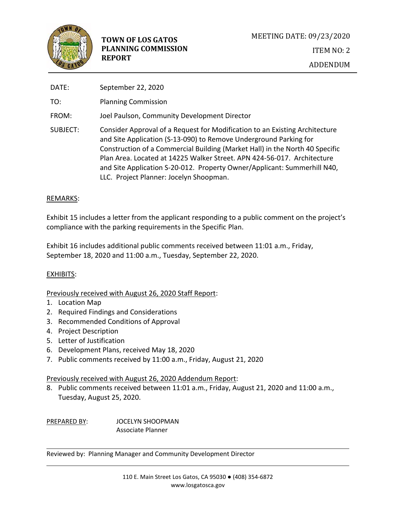

| DATE:    | September 22, 2020                                                                                                                                                                                                                                                                                                                                                                                                                 |
|----------|------------------------------------------------------------------------------------------------------------------------------------------------------------------------------------------------------------------------------------------------------------------------------------------------------------------------------------------------------------------------------------------------------------------------------------|
| TO:      | <b>Planning Commission</b>                                                                                                                                                                                                                                                                                                                                                                                                         |
| FROM:    | Joel Paulson, Community Development Director                                                                                                                                                                                                                                                                                                                                                                                       |
| SUBJECT: | Consider Approval of a Request for Modification to an Existing Architecture<br>and Site Application (S-13-090) to Remove Underground Parking for<br>Construction of a Commercial Building (Market Hall) in the North 40 Specific<br>Plan Area. Located at 14225 Walker Street. APN 424-56-017. Architecture<br>and Site Application S-20-012. Property Owner/Applicant: Summerhill N40,<br>LLC. Project Planner: Jocelyn Shoopman. |

## REMARKS:

Exhibit 15 includes a letter from the applicant responding to a public comment on the project's compliance with the parking requirements in the Specific Plan.

Exhibit 16 includes additional public comments received between 11:01 a.m., Friday, September 18, 2020 and 11:00 a.m., Tuesday, September 22, 2020.

# EXHIBITS:

Previously received with August 26, 2020 Staff Report:

- 1. Location Map
- 2. Required Findings and Considerations
- 3. Recommended Conditions of Approval
- 4. Project Description
- 5. Letter of Justification
- 6. Development Plans, received May 18, 2020
- 7. Public comments received by 11:00 a.m., Friday, August 21, 2020

## Previously received with August 26, 2020 Addendum Report:

8. Public comments received between 11:01 a.m., Friday, August 21, 2020 and 11:00 a.m., Tuesday, August 25, 2020.

PREPARED BY: JOCELYN SHOOPMAN Associate Planner

Reviewed by: Planning Manager and Community Development Director